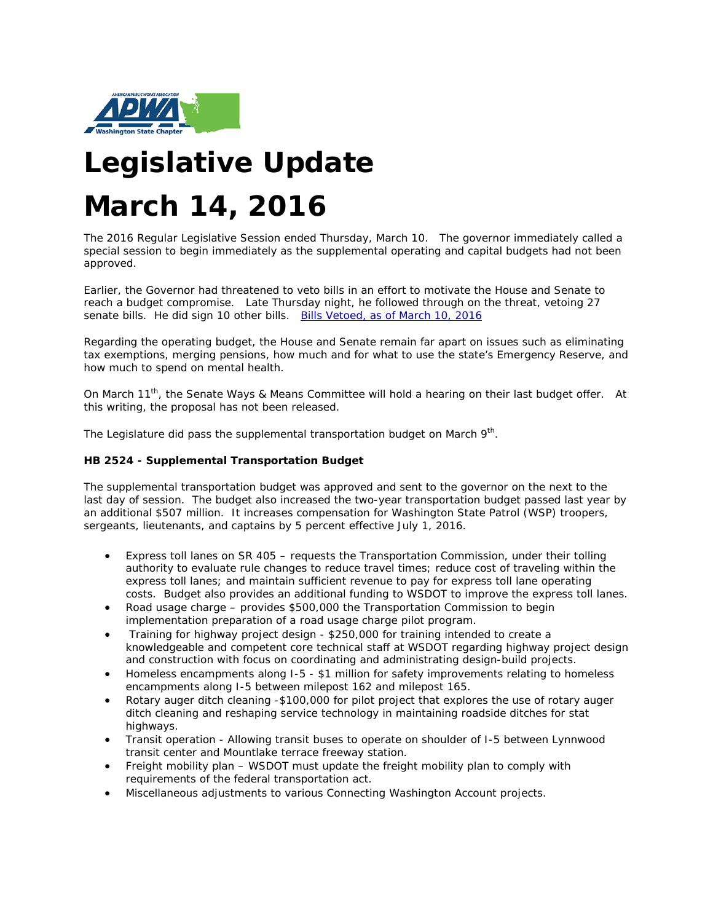

# **Legislative Update March 14, 2016**

The 2016 Regular Legislative Session ended Thursday, March 10. The governor immediately called a special session to begin immediately as the supplemental operating and capital budgets had not been approved.

Earlier, the Governor had threatened to veto bills in an effort to motivate the House and Senate to reach a budget compromise. Late Thursday night, he followed through on the threat, vetoing 27 senate bills. He did sign 10 other bills. [Bills Vetoed, as of March 10, 2016](http://links.govdelivery.com/track?type=click&enid=ZWFzPTEmbXNpZD0mYXVpZD0mbWFpbGluZ2lkPTIwMTYwMzExLjU2NDA0MTcxJm1lc3NhZ2VpZD1NREItUFJELUJVTC0yMDE2MDMxMS41NjQwNDE3MSZkYXRhYmFzZWlkPTEwMDEmc2VyaWFsPTE2ODI1MTY5JmVtYWlsaWQ9dHNwZWlyQGNvLnBpZXJjZS53YS51cyZ1c2VyaWQ9dHNwZWlyQGNvLnBpZXJjZS53YS51cyZ0YXJnZXRpZD0mZmw9Jm12aWQ9JmV4dHJhPSYmJg==&&&103&&&http://leg.wa.gov/LIC/Documents/Statistical%20Reports/Bills%20Vetoed.pdf)

Regarding the operating budget, the House and Senate remain far apart on issues such as eliminating tax exemptions, merging pensions, how much and for what to use the state's Emergency Reserve, and how much to spend on mental health.

On March 11<sup>th</sup>, the Senate Ways & Means Committee will hold a hearing on their last budget offer. At this writing, the proposal has not been released.

The Legislature did pass the supplemental transportation budget on March  $9<sup>th</sup>$ .

#### **HB 2524 - Supplemental Transportation Budget**

The supplemental transportation budget was approved and sent to the governor on the next to the last day of session. The budget also increased the two-year transportation budget passed last year by an additional \$507 million. It increases compensation for Washington State Patrol (WSP) troopers, sergeants, lieutenants, and captains by 5 percent effective July 1, 2016.

- Express toll lanes on SR 405 requests the Transportation Commission, under their tolling authority to evaluate rule changes to reduce travel times; reduce cost of traveling within the express toll lanes; and maintain sufficient revenue to pay for express toll lane operating costs. Budget also provides an additional funding to WSDOT to improve the express toll lanes.
- Road usage charge provides \$500,000 the Transportation Commission to begin implementation preparation of a road usage charge pilot program.
- Training for highway project design \$250,000 for training intended to create a knowledgeable and competent core technical staff at WSDOT regarding highway project design and construction with focus on coordinating and administrating design-build projects.
- Homeless encampments along I-5 \$1 million for safety improvements relating to homeless encampments along I-5 between milepost 162 and milepost 165.
- Rotary auger ditch cleaning -\$100,000 for pilot project that explores the use of rotary auger ditch cleaning and reshaping service technology in maintaining roadside ditches for stat highways.
- Transit operation Allowing transit buses to operate on shoulder of I-5 between Lynnwood transit center and Mountlake terrace freeway station.
- Freight mobility plan WSDOT must update the freight mobility plan to comply with requirements of the federal transportation act.
- Miscellaneous adjustments to various Connecting Washington Account projects.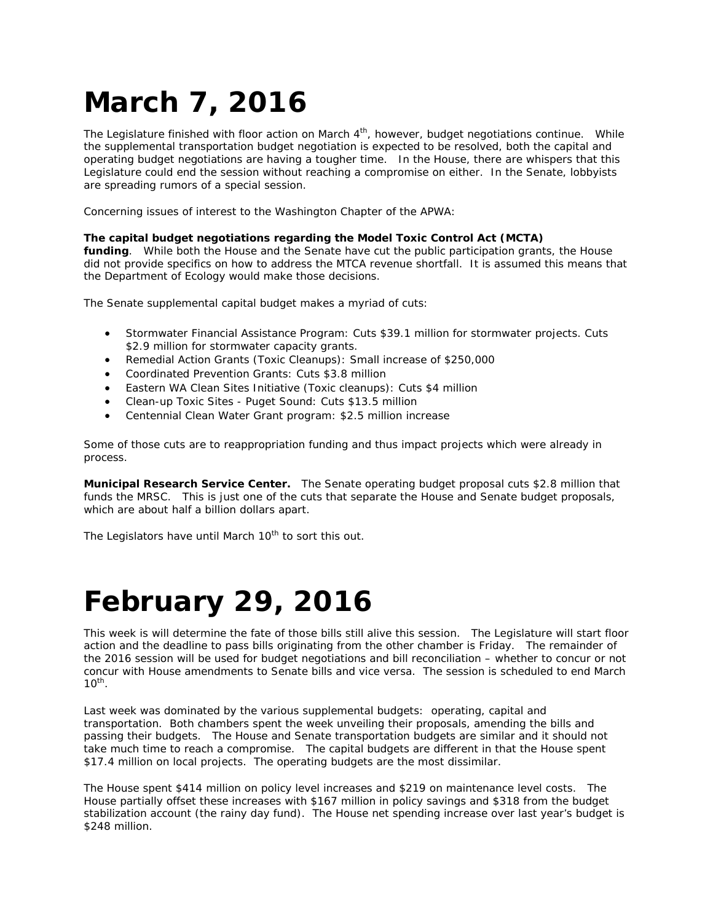# **March 7, 2016**

The Legislature finished with floor action on March 4<sup>th</sup>, however, budget negotiations continue. While the supplemental transportation budget negotiation is expected to be resolved, both the capital and operating budget negotiations are having a tougher time. In the House, there are whispers that this Legislature could end the session without reaching a compromise on either. In the Senate, lobbyists are spreading rumors of a special session.

Concerning issues of interest to the Washington Chapter of the APWA:

#### **The capital budget negotiations regarding the Model Toxic Control Act (MCTA)**

**funding**. While both the House and the Senate have cut the public participation grants, the House did not provide specifics on how to address the MTCA revenue shortfall. It is assumed this means that the Department of Ecology would make those decisions.

The Senate supplemental capital budget makes a myriad of cuts:

- Stormwater Financial Assistance Program: Cuts \$39.1 million for stormwater projects. Cuts \$2.9 million for stormwater capacity grants.
- Remedial Action Grants (Toxic Cleanups): Small increase of \$250,000
- Coordinated Prevention Grants: Cuts \$3.8 million
- Eastern WA Clean Sites Initiative (Toxic cleanups): Cuts \$4 million
- Clean-up Toxic Sites Puget Sound: Cuts \$13.5 million
- Centennial Clean Water Grant program: \$2.5 million increase

Some of those cuts are to reappropriation funding and thus impact projects which were already in process.

**Municipal Research Service Center.** The Senate operating budget proposal cuts \$2.8 million that funds the MRSC. This is just one of the cuts that separate the House and Senate budget proposals, which are about half a billion dollars apart.

The Legislators have until March 10<sup>th</sup> to sort this out.

### **February 29, 2016**

This week is will determine the fate of those bills still alive this session. The Legislature will start floor action and the deadline to pass bills originating from the other chamber is Friday. The remainder of the 2016 session will be used for budget negotiations and bill reconciliation – whether to concur or not concur with House amendments to Senate bills and vice versa. The session is scheduled to end March  $10^{th}$ .

Last week was dominated by the various supplemental budgets: operating, capital and transportation. Both chambers spent the week unveiling their proposals, amending the bills and passing their budgets. The House and Senate transportation budgets are similar and it should not take much time to reach a compromise. The capital budgets are different in that the House spent \$17.4 million on local projects. The operating budgets are the most dissimilar.

The House spent \$414 million on policy level increases and \$219 on maintenance level costs. The House partially offset these increases with \$167 million in policy savings and \$318 from the budget stabilization account (the rainy day fund). The House net spending increase over last year's budget is \$248 million.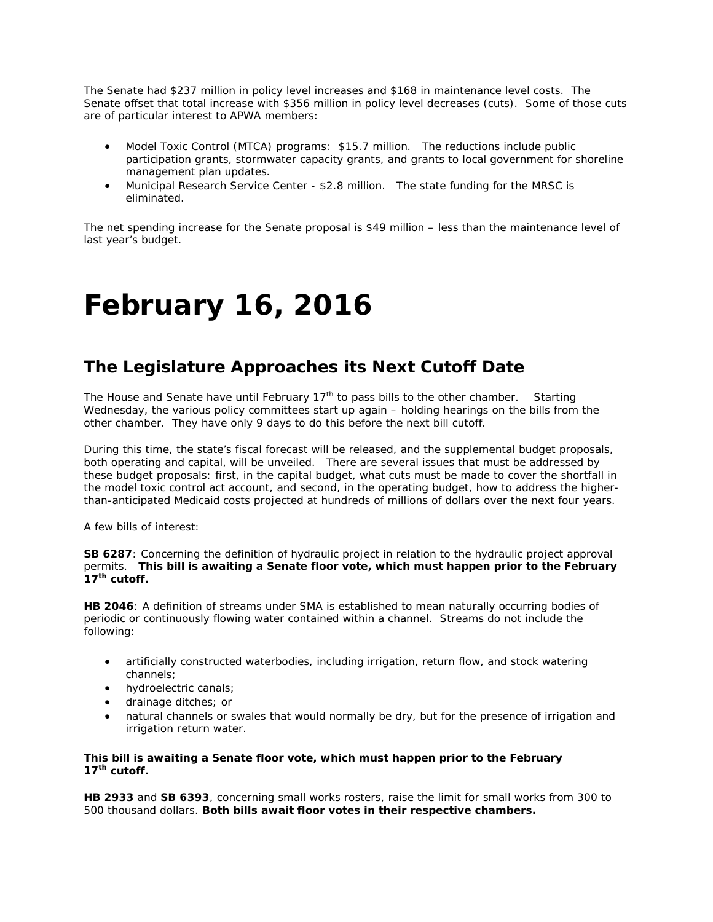The Senate had \$237 million in policy level increases and \$168 in maintenance level costs. The Senate offset that total increase with \$356 million in policy level decreases (cuts). Some of those cuts are of particular interest to APWA members:

- Model Toxic Control (MTCA) programs: \$15.7 million. The reductions include public participation grants, stormwater capacity grants, and grants to local government for shoreline management plan updates.
- Municipal Research Service Center \$2.8 million. The state funding for the MRSC is eliminated.

The net spending increase for the Senate proposal is \$49 million – less than the maintenance level of last year's budget.

### **February 16, 2016**

### *The Legislature Approaches its Next Cutoff Date*

The House and Senate have until February  $17<sup>th</sup>$  to pass bills to the other chamber. Starting Wednesday, the various policy committees start up again – holding hearings on the bills from the other chamber. They have only 9 days to do this before the next bill cutoff.

During this time, the state's fiscal forecast will be released, and the supplemental budget proposals, both operating and capital, will be unveiled. There are several issues that must be addressed by these budget proposals: first, in the capital budget, what cuts must be made to cover the shortfall in the model toxic control act account, and second, in the operating budget, how to address the higherthan-anticipated Medicaid costs projected at hundreds of millions of dollars over the next four years.

A few bills of interest:

**SB 6287**: Concerning the definition of hydraulic project in relation to the hydraulic project approval permits. **This bill is awaiting a Senate floor vote, which must happen prior to the February 17th cutoff.**

**HB 2046**: A definition of streams under SMA is established to mean naturally occurring bodies of periodic or continuously flowing water contained within a channel. Streams do not include the following:

- artificially constructed waterbodies, including irrigation, return flow, and stock watering channels;
- hydroelectric canals;
- drainage ditches; or
- natural channels or swales that would normally be dry, but for the presence of irrigation and irrigation return water.

#### **This bill is awaiting a Senate floor vote, which must happen prior to the February 17th cutoff.**

**HB 2933** and **SB 6393**, concerning small works rosters, raise the limit for small works from 300 to 500 thousand dollars. **Both bills await floor votes in their respective chambers.**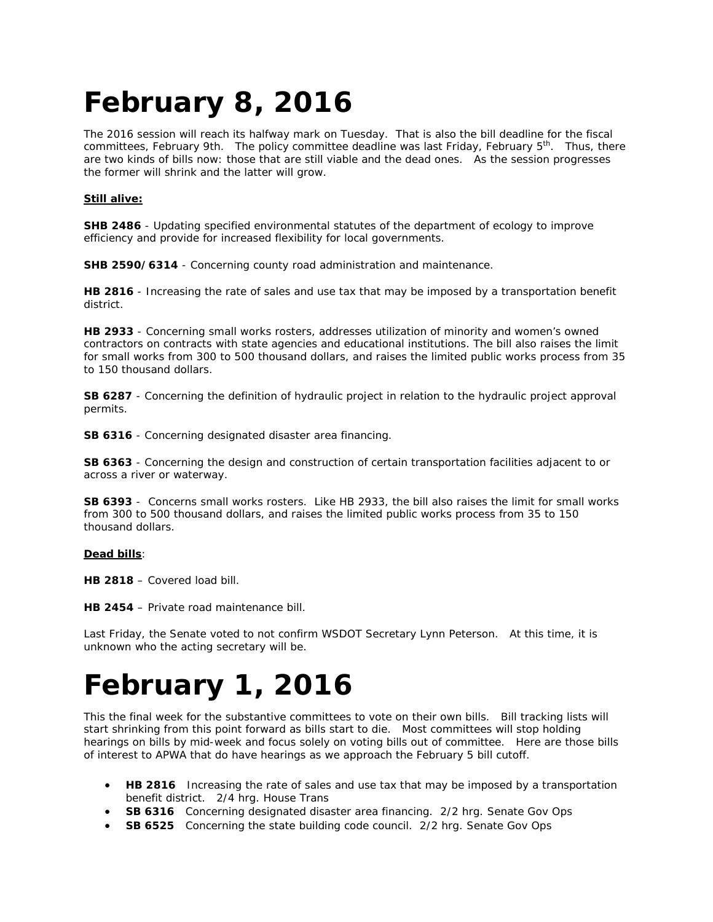# **February 8, 2016**

The 2016 session will reach its halfway mark on Tuesday. That is also the bill deadline for the fiscal committees, February 9th. The policy committee deadline was last Friday, February 5<sup>th</sup>. Thus, there are two kinds of bills now: those that are still viable and the dead ones. As the session progresses the former will shrink and the latter will grow.

#### **Still alive:**

**SHB 2486** - Updating specified environmental statutes of the department of ecology to improve efficiency and provide for increased flexibility for local governments.

**SHB 2590/6314** - Concerning county road administration and maintenance.

**HB 2816** - Increasing the rate of sales and use tax that may be imposed by a transportation benefit district.

**HB 2933** - Concerning small works rosters, addresses utilization of minority and women's owned contractors on contracts with state agencies and educational institutions. The bill also raises the limit for small works from 300 to 500 thousand dollars, and raises the limited public works process from 35 to 150 thousand dollars.

**SB 6287** - Concerning the definition of hydraulic project in relation to the hydraulic project approval permits.

**SB 6316** - Concerning designated disaster area financing.

**SB 6363** - Concerning the design and construction of certain transportation facilities adjacent to or across a river or waterway.

**SB 6393** - Concerns small works rosters. Like HB 2933, the bill also raises the limit for small works from 300 to 500 thousand dollars, and raises the limited public works process from 35 to 150 thousand dollars.

#### **Dead bills**:

**HB 2818** – Covered load bill.

**HB 2454** – Private road maintenance bill.

Last Friday, the Senate voted to not confirm WSDOT Secretary Lynn Peterson. At this time, it is unknown who the acting secretary will be.

### **February 1, 2016**

This the final week for the substantive committees to vote on their own bills. Bill tracking lists will start shrinking from this point forward as bills start to die. Most committees will stop holding hearings on bills by mid-week and focus solely on voting bills out of committee. Here are those bills of interest to APWA that do have hearings as we approach the February 5 bill cutoff.

- **HB 2816** Increasing the rate of sales and use tax that may be imposed by a transportation benefit district. 2/4 hrg. House Trans
- **SB 6316** Concerning designated disaster area financing. 2/2 hrg. Senate Gov Ops
- **SB 6525** Concerning the state building code council. 2/2 hrg. Senate Gov Ops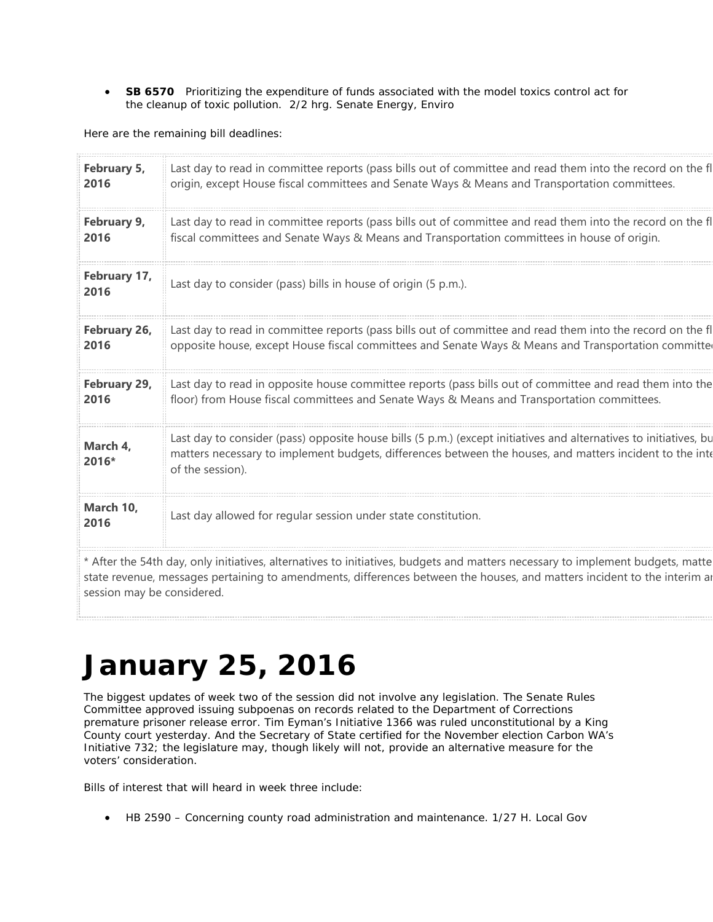• **SB 6570** Prioritizing the expenditure of funds associated with the model toxics control act for the cleanup of toxic pollution. 2/2 hrg. Senate Energy, Enviro

Here are the remaining bill deadlines:

| February 5,<br>2016  | Last day to read in committee reports (pass bills out of committee and read them into the record on the fl<br>origin, except House fiscal committees and Senate Ways & Means and Transportation committees.                                       |  |
|----------------------|---------------------------------------------------------------------------------------------------------------------------------------------------------------------------------------------------------------------------------------------------|--|
| February 9,<br>2016  | Last day to read in committee reports (pass bills out of committee and read them into the record on the fl<br>fiscal committees and Senate Ways & Means and Transportation committees in house of origin.                                         |  |
| February 17,<br>2016 | Last day to consider (pass) bills in house of origin (5 p.m.).                                                                                                                                                                                    |  |
| February 26,<br>2016 | Last day to read in committee reports (pass bills out of committee and read them into the record on the fl<br>opposite house, except House fiscal committees and Senate Ways & Means and Transportation committe                                  |  |
| February 29,<br>2016 | Last day to read in opposite house committee reports (pass bills out of committee and read them into the<br>floor) from House fiscal committees and Senate Ways & Means and Transportation committees.                                            |  |
| March 4,<br>2016*    | Last day to consider (pass) opposite house bills (5 p.m.) (except initiatives and alternatives to initiatives, bu<br>matters necessary to implement budgets, differences between the houses, and matters incident to the inte<br>of the session). |  |
| March 10,<br>2016    | Last day allowed for regular session under state constitution.                                                                                                                                                                                    |  |
|                      |                                                                                                                                                                                                                                                   |  |

\* After the 54th day, only initiatives, alternatives to initiatives, budgets and matters necessary to implement budgets, matte state revenue, messages pertaining to amendments, differences between the houses, and matters incident to the interim an session may be considered.

# **January 25, 2016**

The biggest updates of week two of the session did not involve any legislation. The Senate Rules Committee approved issuing subpoenas on records related to the Department of Corrections premature prisoner release error. Tim Eyman's Initiative 1366 was ruled unconstitutional by a King County court yesterday. And the Secretary of State certified for the November election Carbon WA's Initiative 732; the legislature may, though likely will not, provide an alternative measure for the voters' consideration.

Bills of interest that will heard in week three include:

• HB 2590 – Concerning county road administration and maintenance. 1/27 H. Local Gov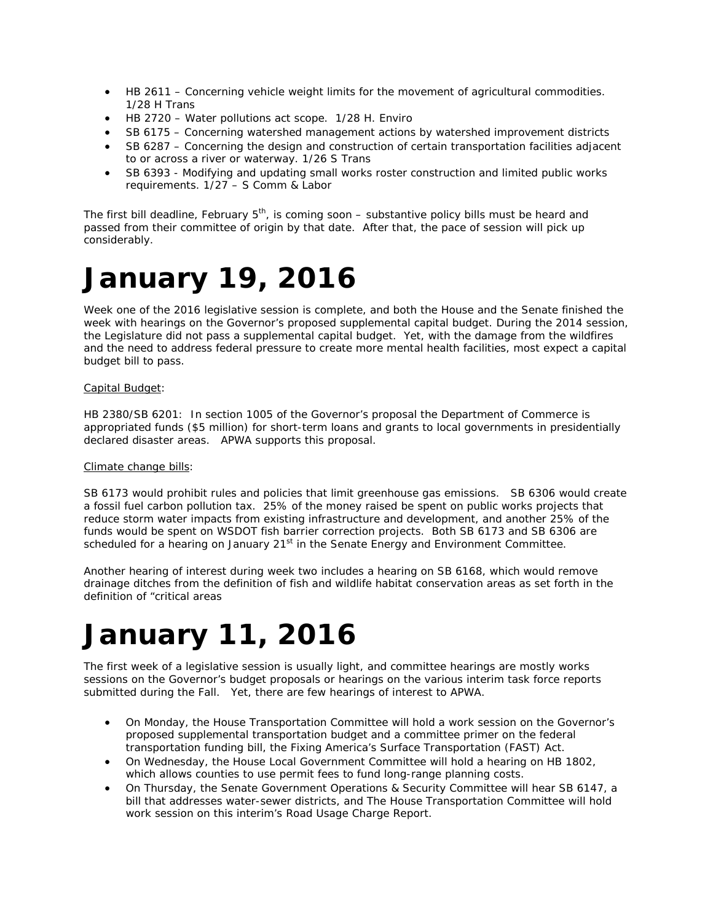- HB 2611 Concerning vehicle weight limits for the movement of agricultural commodities. 1/28 H Trans
- HB 2720 Water pollutions act scope. 1/28 H. Enviro
- SB 6175 Concerning watershed management actions by watershed improvement districts
- SB 6287 Concerning the design and construction of certain transportation facilities adjacent to or across a river or waterway. 1/26 S Trans
- SB 6393 Modifying and updating small works roster construction and limited public works requirements. 1/27 – S Comm & Labor

The first bill deadline, February  $5<sup>th</sup>$ , is coming soon – substantive policy bills must be heard and passed from their committee of origin by that date. After that, the pace of session will pick up considerably.

### **January 19, 2016**

Week one of the 2016 legislative session is complete, and both the House and the Senate finished the week with hearings on the Governor's proposed supplemental capital budget. During the 2014 session, the Legislature did not pass a supplemental capital budget. Yet, with the damage from the wildfires and the need to address federal pressure to create more mental health facilities, most expect a capital budget bill to pass.

#### Capital Budget:

HB 2380/SB 6201: In section 1005 of the Governor's proposal the Department of Commerce is appropriated funds (\$5 million) for short-term loans and grants to local governments in presidentially declared disaster areas. APWA supports this proposal.

#### Climate change bills:

SB 6173 would prohibit rules and policies that limit greenhouse gas emissions. SB 6306 would create a fossil fuel carbon pollution tax. 25% of the money raised be spent on public works projects that reduce storm water impacts from existing infrastructure and development, and another 25% of the funds would be spent on WSDOT fish barrier correction projects. Both SB 6173 and SB 6306 are scheduled for a hearing on January 21<sup>st</sup> in the Senate Energy and Environment Committee.

Another hearing of interest during week two includes a hearing on SB 6168, which would remove drainage ditches from the definition of fish and wildlife habitat conservation areas as set forth in the definition of "critical areas

# **January 11, 2016**

The first week of a legislative session is usually light, and committee hearings are mostly works sessions on the Governor's budget proposals or hearings on the various interim task force reports submitted during the Fall. Yet, there are few hearings of interest to APWA.

- On Monday, the House Transportation Committee will hold a work session on the Governor's proposed supplemental transportation budget and a committee primer on the federal transportation funding bill, the Fixing America's Surface Transportation (FAST) Act.
- On Wednesday, the House Local Government Committee will hold a hearing on HB 1802, which allows counties to use permit fees to fund long-range planning costs.
- On Thursday, the Senate Government Operations & Security Committee will hear SB 6147, a bill that addresses water-sewer districts, and The House Transportation Committee will hold work session on this interim's Road Usage Charge Report.